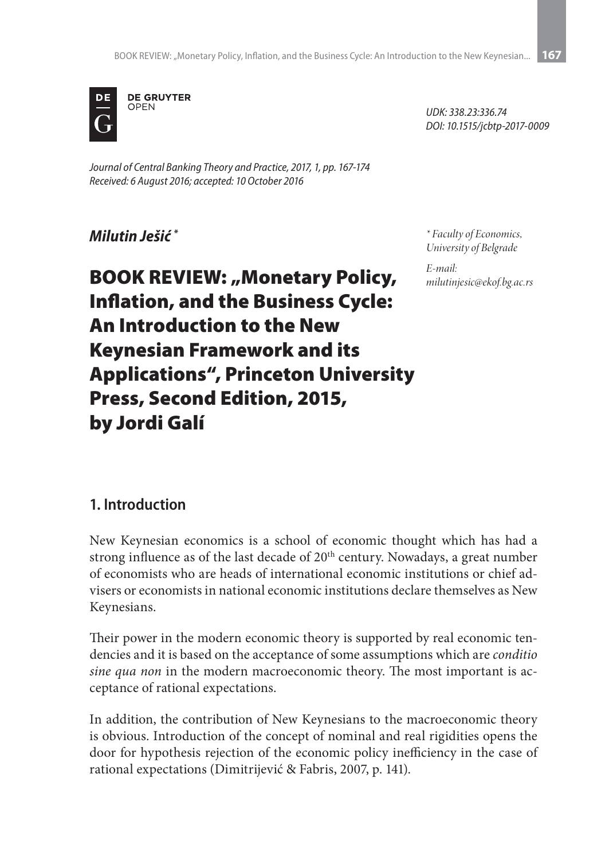

*Journal of Central Banking Theory and Practice, 2017, 1, pp. 167-174 Received: 6 August 2016; accepted: 10 October 2016*

*Milutin Ješić \**

*\* Faculty of Economics, University of Belgrade*

*UDK: 338.23:336.74 DOI: 10.1515/jcbtp-2017-0009*

*E-mail: milutinjesic@ekof.bg.ac.rs*

**BOOK REVIEW: "Monetary Policy,** Inflation, and the Business Cycle: An Introduction to the New Keynesian Framework and its Applications", Princeton University Press, Second Edition, 2015, by Jordi Galí

#### **1. Introduction**

New Keynesian economics is a school of economic thought which has had a strong influence as of the last decade of 20<sup>th</sup> century. Nowadays, a great number of economists who are heads of international economic institutions or chief advisers or economists in national economic institutions declare themselves as New Keynesians.

Their power in the modern economic theory is supported by real economic tendencies and it is based on the acceptance of some assumptions which are *conditio sine qua non* in the modern macroeconomic theory. The most important is acceptance of rational expectations.

In addition, the contribution of New Keynesians to the macroeconomic theory is obvious. Introduction of the concept of nominal and real rigidities opens the door for hypothesis rejection of the economic policy inefficiency in the case of rational expectations (Dimitrijević & Fabris, 2007, p. 141).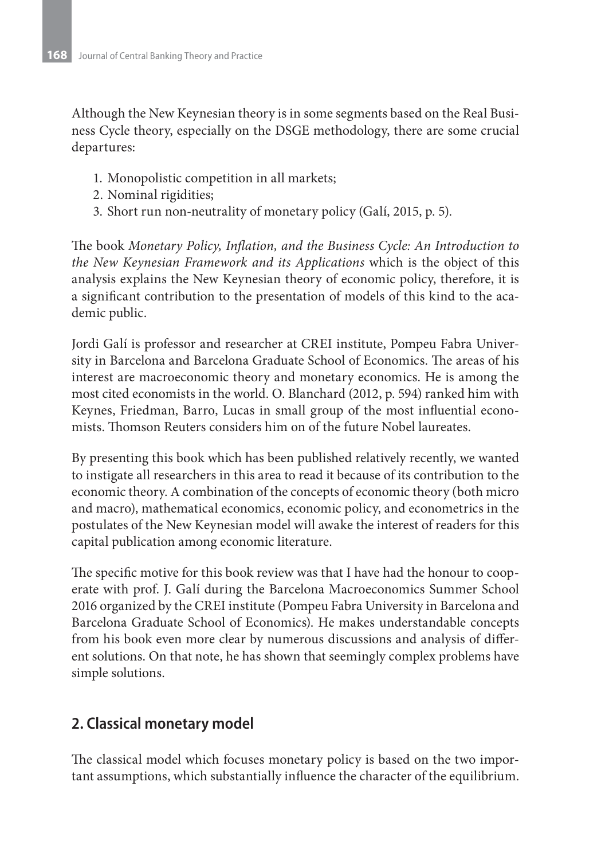Although the New Keynesian theory is in some segments based on the Real Business Cycle theory, especially on the DSGE methodology, there are some crucial departures:

- 1. Monopolistic competition in all markets;
- 2. Nominal rigidities;
- 3. Short run non-neutrality of monetary policy (Galí, 2015, p. 5).

The book *Monetary Policy, Inflation, and the Business Cycle: An Introduction to the New Keynesian Framework and its Applications* which is the object of this analysis explains the New Keynesian theory of economic policy, therefore, it is a significant contribution to the presentation of models of this kind to the academic public.

Jordi Galí is professor and researcher at CREI institute, Pompeu Fabra University in Barcelona and Barcelona Graduate School of Economics. The areas of his interest are macroeconomic theory and monetary economics. He is among the most cited economists in the world. O. Blanchard (2012, p. 594) ranked him with Keynes, Friedman, Barro, Lucas in small group of the most influential economists. Thomson Reuters considers him on of the future Nobel laureates.

By presenting this book which has been published relatively recently, we wanted to instigate all researchers in this area to read it because of its contribution to the economic theory. A combination of the concepts of economic theory (both micro and macro), mathematical economics, economic policy, and econometrics in the postulates of the New Keynesian model will awake the interest of readers for this capital publication among economic literature.

The specific motive for this book review was that I have had the honour to cooperate with prof. J. Galí during the Barcelona Macroeconomics Summer School 2016 organized by the CREI institute (Pompeu Fabra University in Barcelona and Barcelona Graduate School of Economics). He makes understandable concepts from his book even more clear by numerous discussions and analysis of different solutions. On that note, he has shown that seemingly complex problems have simple solutions.

## **2. Classical monetary model**

The classical model which focuses monetary policy is based on the two important assumptions, which substantially influence the character of the equilibrium.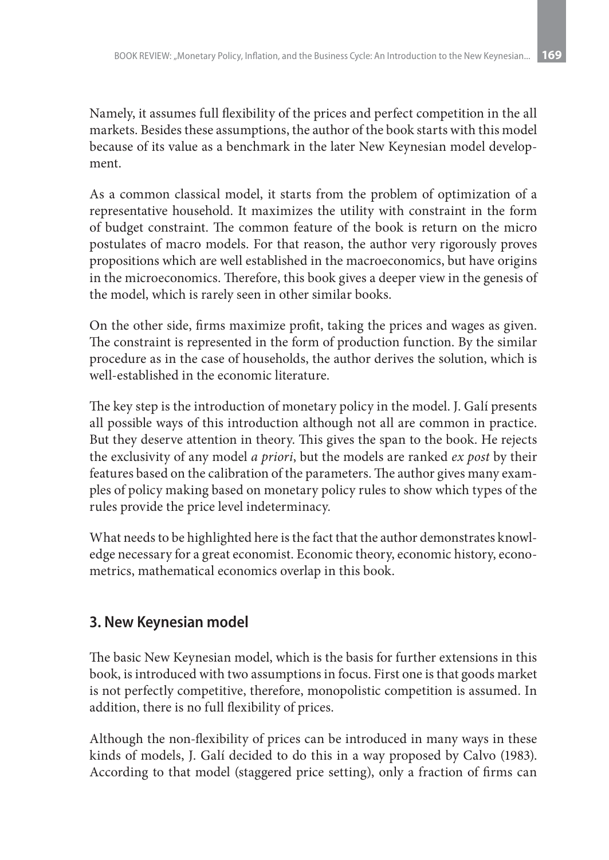Namely, it assumes full flexibility of the prices and perfect competition in the all markets. Besides these assumptions, the author of the book starts with this model because of its value as a benchmark in the later New Keynesian model development.

As a common classical model, it starts from the problem of optimization of a representative household. It maximizes the utility with constraint in the form of budget constraint. The common feature of the book is return on the micro postulates of macro models. For that reason, the author very rigorously proves propositions which are well established in the macroeconomics, but have origins in the microeconomics. Therefore, this book gives a deeper view in the genesis of the model, which is rarely seen in other similar books.

On the other side, firms maximize profit, taking the prices and wages as given. The constraint is represented in the form of production function. By the similar procedure as in the case of households, the author derives the solution, which is well-established in the economic literature.

The key step is the introduction of monetary policy in the model. J. Galí presents all possible ways of this introduction although not all are common in practice. But they deserve attention in theory. This gives the span to the book. He rejects the exclusivity of any model *a priori*, but the models are ranked *ex post* by their features based on the calibration of the parameters. The author gives many examples of policy making based on monetary policy rules to show which types of the rules provide the price level indeterminacy.

What needs to be highlighted here is the fact that the author demonstrates knowledge necessary for a great economist. Economic theory, economic history, econometrics, mathematical economics overlap in this book.

## **3. New Keynesian model**

The basic New Keynesian model, which is the basis for further extensions in this book, is introduced with two assumptions in focus. First one is that goods market is not perfectly competitive, therefore, monopolistic competition is assumed. In addition, there is no full flexibility of prices.

Although the non-flexibility of prices can be introduced in many ways in these kinds of models, J. Galí decided to do this in a way proposed by Calvo (1983). According to that model (staggered price setting), only a fraction of firms can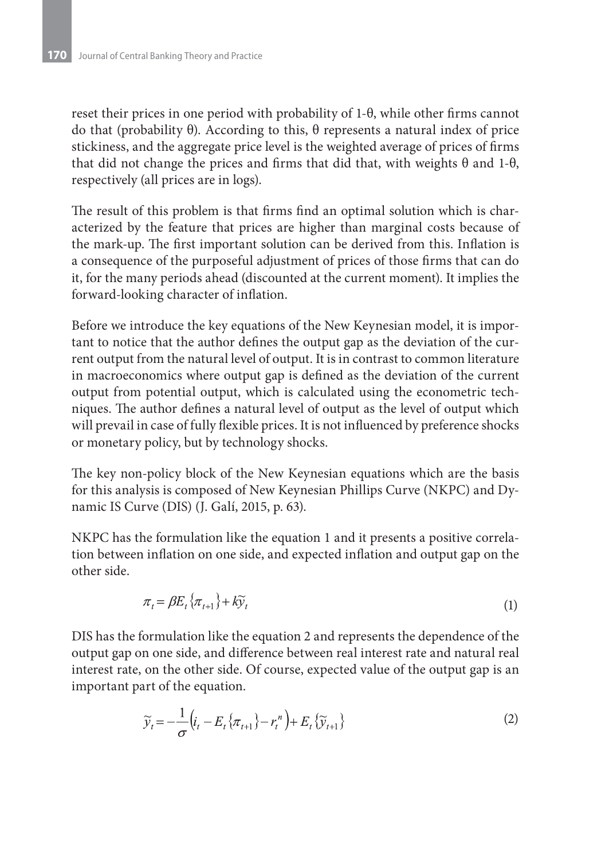reset their prices in one period with probability of 1-θ, while other firms cannot do that (probability θ). According to this, θ represents a natural index of price stickiness, and the aggregate price level is the weighted average of prices of firms that did not change the prices and firms that did that, with weights θ and 1-θ, respectively (all prices are in logs).

The result of this problem is that firms find an optimal solution which is characterized by the feature that prices are higher than marginal costs because of the mark-up. The first important solution can be derived from this. Inflation is a consequence of the purposeful adjustment of prices of those firms that can do it, for the many periods ahead (discounted at the current moment). It implies the forward-looking character of inflation.

Before we introduce the key equations of the New Keynesian model, it is important to notice that the author defines the output gap as the deviation of the current output from the natural level of output. It is in contrast to common literature in macroeconomics where output gap is defined as the deviation of the current output from potential output, which is calculated using the econometric techniques. The author defines a natural level of output as the level of output which will prevail in case of fully flexible prices. It is not influenced by preference shocks or monetary policy, but by technology shocks.

The key non-policy block of the New Keynesian equations which are the basis for this analysis is composed of New Keynesian Phillips Curve (NKPC) and Dynamic IS Curve (DIS) (J. Galí, 2015, p. 63).

NKPC has the formulation like the equation 1 and it presents a positive correlation between inflation on one side, and expected inflation and output gap on the other side.

$$
\pi_t = \beta E_t \{\pi_{t+1}\} + k\widetilde{y}_t \tag{1}
$$

DIS has the formulation like the equation 2 and represents the dependence of the output gap on one side, and difference between real interest rate and natural real interest rate, on the other side. Of course, expected value of the output gap is an important part of the equation.

$$
\widetilde{y}_t = -\frac{1}{\sigma} \left( i_t - E_t \{ \pi_{t+1} \} - r_t^n \right) + E_t \{ \widetilde{y}_{t+1} \}
$$
\n<sup>(2)</sup>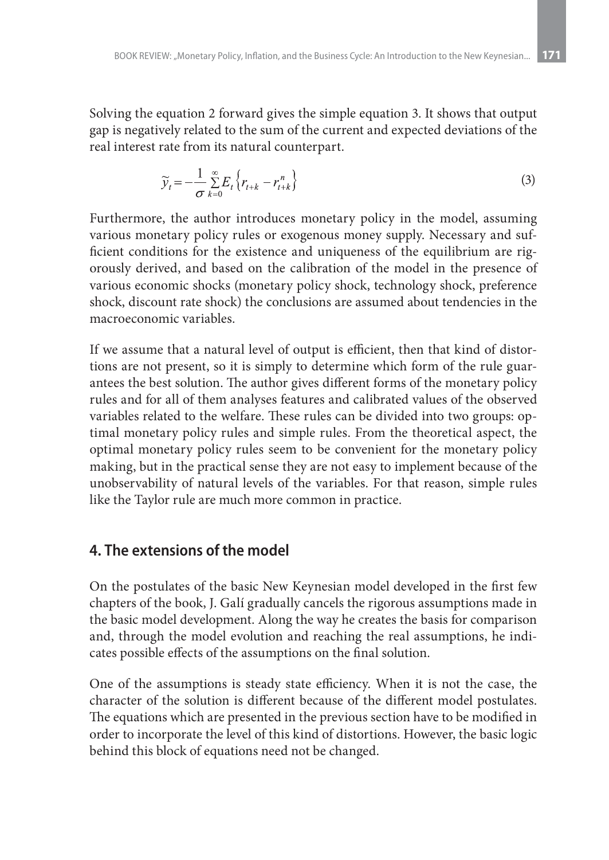Solving the equation 2 forward gives the simple equation 3. It shows that output gap is negatively related to the sum of the current and expected deviations of the real interest rate from its natural counterpart.

$$
\widetilde{y}_t = -\frac{1}{\sigma} \sum_{k=0}^{\infty} E_t \left\{ r_{t+k} - r_{t+k}^n \right\} \tag{3}
$$

Furthermore, the author introduces monetary policy in the model, assuming various monetary policy rules or exogenous money supply. Necessary and sufficient conditions for the existence and uniqueness of the equilibrium are rigorously derived, and based on the calibration of the model in the presence of various economic shocks (monetary policy shock, technology shock, preference shock, discount rate shock) the conclusions are assumed about tendencies in the macroeconomic variables.

If we assume that a natural level of output is efficient, then that kind of distortions are not present, so it is simply to determine which form of the rule guarantees the best solution. The author gives different forms of the monetary policy rules and for all of them analyses features and calibrated values of the observed variables related to the welfare. These rules can be divided into two groups: optimal monetary policy rules and simple rules. From the theoretical aspect, the optimal monetary policy rules seem to be convenient for the monetary policy making, but in the practical sense they are not easy to implement because of the unobservability of natural levels of the variables. For that reason, simple rules like the Taylor rule are much more common in practice.

#### **4. The extensions of the model**

On the postulates of the basic New Keynesian model developed in the first few chapters of the book, J. Galí gradually cancels the rigorous assumptions made in the basic model development. Along the way he creates the basis for comparison and, through the model evolution and reaching the real assumptions, he indicates possible effects of the assumptions on the final solution.

One of the assumptions is steady state efficiency. When it is not the case, the character of the solution is different because of the different model postulates. The equations which are presented in the previous section have to be modified in order to incorporate the level of this kind of distortions. However, the basic logic behind this block of equations need not be changed.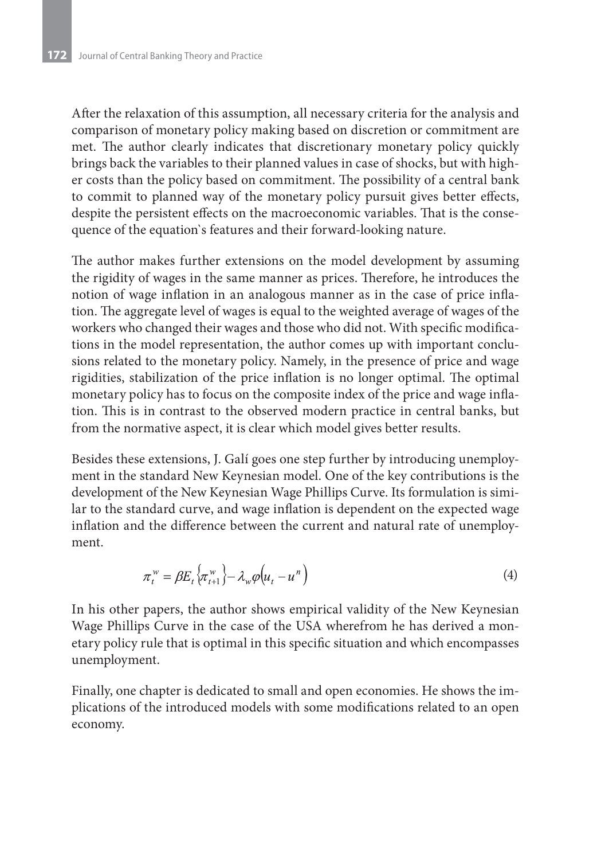After the relaxation of this assumption, all necessary criteria for the analysis and comparison of monetary policy making based on discretion or commitment are met. The author clearly indicates that discretionary monetary policy quickly brings back the variables to their planned values in case of shocks, but with higher costs than the policy based on commitment. The possibility of a central bank to commit to planned way of the monetary policy pursuit gives better effects, despite the persistent effects on the macroeconomic variables. That is the consequence of the equation`s features and their forward-looking nature.

The author makes further extensions on the model development by assuming the rigidity of wages in the same manner as prices. Therefore, he introduces the notion of wage inflation in an analogous manner as in the case of price inflation. The aggregate level of wages is equal to the weighted average of wages of the workers who changed their wages and those who did not. With specific modifications in the model representation, the author comes up with important conclusions related to the monetary policy. Namely, in the presence of price and wage rigidities, stabilization of the price inflation is no longer optimal. The optimal monetary policy has to focus on the composite index of the price and wage inflation. This is in contrast to the observed modern practice in central banks, but from the normative aspect, it is clear which model gives better results.

Besides these extensions, J. Galí goes one step further by introducing unemployment in the standard New Keynesian model. One of the key contributions is the development of the New Keynesian Wage Phillips Curve. Its formulation is similar to the standard curve, and wage inflation is dependent on the expected wage inflation and the difference between the current and natural rate of unemployment.

$$
\pi_t^w = \beta E_t \left\{ \pi_{t+1}^w \right\} - \lambda_w \varphi \left( u_t - u^n \right) \tag{4}
$$

In his other papers, the author shows empirical validity of the New Keynesian Wage Phillips Curve in the case of the USA wherefrom he has derived a monetary policy rule that is optimal in this specific situation and which encompasses unemployment.

Finally, one chapter is dedicated to small and open economies. He shows the implications of the introduced models with some modifications related to an open economy.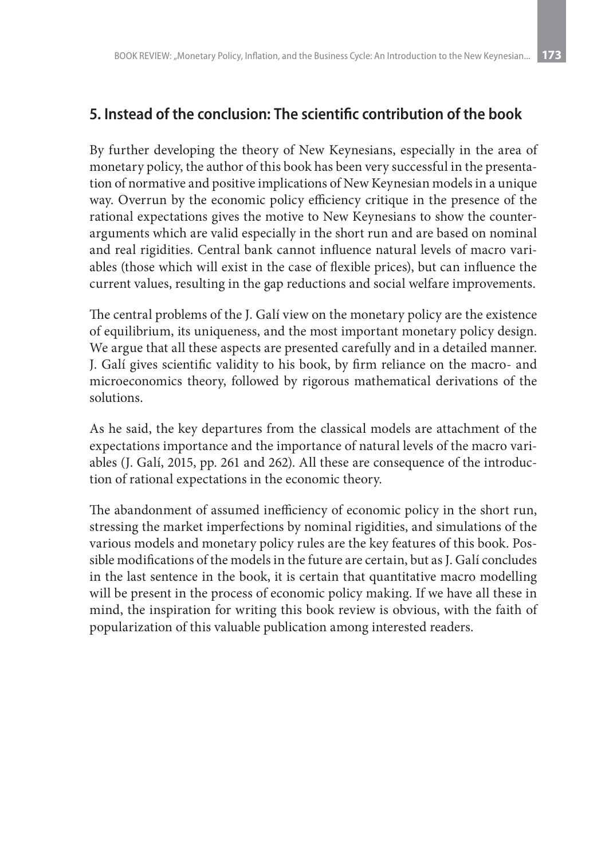### **5. Instead of the conclusion: The scientific contribution of the book**

By further developing the theory of New Keynesians, especially in the area of monetary policy, the author of this book has been very successful in the presentation of normative and positive implications of New Keynesian models in a unique way. Overrun by the economic policy efficiency critique in the presence of the rational expectations gives the motive to New Keynesians to show the counterarguments which are valid especially in the short run and are based on nominal and real rigidities. Central bank cannot influence natural levels of macro variables (those which will exist in the case of flexible prices), but can influence the current values, resulting in the gap reductions and social welfare improvements.

The central problems of the J. Galí view on the monetary policy are the existence of equilibrium, its uniqueness, and the most important monetary policy design. We argue that all these aspects are presented carefully and in a detailed manner. J. Galí gives scientific validity to his book, by firm reliance on the macro- and microeconomics theory, followed by rigorous mathematical derivations of the solutions.

As he said, the key departures from the classical models are attachment of the expectations importance and the importance of natural levels of the macro variables (J. Galí, 2015, pp. 261 and 262). All these are consequence of the introduction of rational expectations in the economic theory.

The abandonment of assumed inefficiency of economic policy in the short run, stressing the market imperfections by nominal rigidities, and simulations of the various models and monetary policy rules are the key features of this book. Possible modifications of the models in the future are certain, but as J. Galí concludes in the last sentence in the book, it is certain that quantitative macro modelling will be present in the process of economic policy making. If we have all these in mind, the inspiration for writing this book review is obvious, with the faith of popularization of this valuable publication among interested readers.